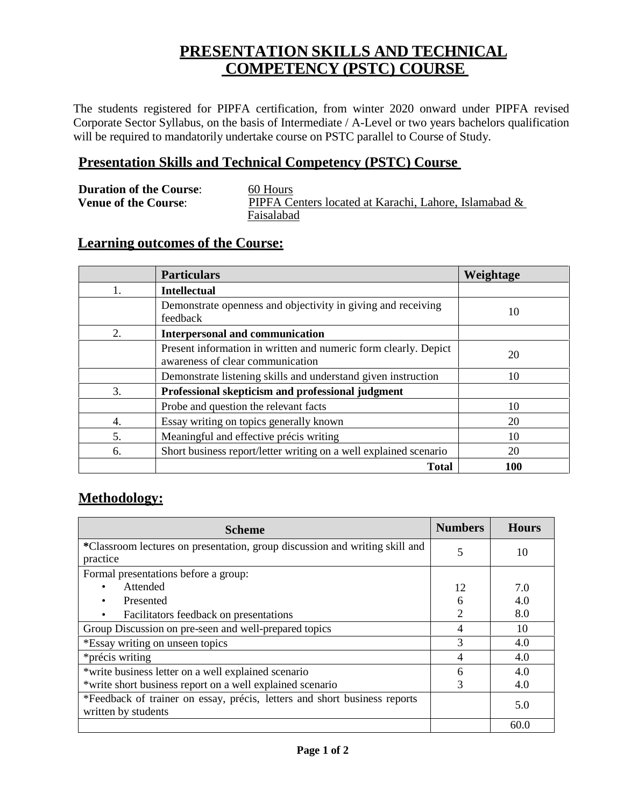# **PRESENTATION SKILLS AND TECHNICAL COMPETENCY (PSTC) COURSE**

The students registered for PIPFA certification, from winter 2020 onward under PIPFA revised Corporate Sector Syllabus, on the basis of Intermediate / A-Level or two years bachelors qualification will be required to mandatorily undertake course on PSTC parallel to Course of Study.

#### **Presentation Skills and Technical Competency (PSTC) Course**

| <b>Duration of the Course:</b> | 60 Hours                                              |
|--------------------------------|-------------------------------------------------------|
| <b>Venue of the Course:</b>    | PIPFA Centers located at Karachi, Lahore, Islamabad & |
|                                | Faisalabad                                            |

### **Learning outcomes of the Course:**

|    | <b>Particulars</b>                                                                                  | Weightage |  |
|----|-----------------------------------------------------------------------------------------------------|-----------|--|
| 1. | <b>Intellectual</b>                                                                                 |           |  |
|    | Demonstrate openness and objectivity in giving and receiving<br>feedback                            | 10        |  |
| 2. | <b>Interpersonal and communication</b>                                                              |           |  |
|    | Present information in written and numeric form clearly. Depict<br>awareness of clear communication | 20        |  |
|    | Demonstrate listening skills and understand given instruction                                       | 10        |  |
| 3. | Professional skepticism and professional judgment                                                   |           |  |
|    | Probe and question the relevant facts                                                               | 10        |  |
| 4. | Essay writing on topics generally known                                                             | 20        |  |
| 5. | Meaningful and effective précis writing                                                             | 10        |  |
| 6. | Short business report/letter writing on a well explained scenario                                   | 20        |  |
|    | Total                                                                                               | 100       |  |

### **Methodology:**

| <b>Scheme</b>                                                                                    |   | <b>Hours</b> |
|--------------------------------------------------------------------------------------------------|---|--------------|
| *Classroom lectures on presentation, group discussion and writing skill and                      |   | 10           |
| practice                                                                                         |   |              |
| Formal presentations before a group:                                                             |   |              |
| Attended                                                                                         |   | 7.0          |
| Presented                                                                                        | 6 | 4.0          |
| Facilitators feedback on presentations                                                           | 2 | 8.0          |
| Group Discussion on pre-seen and well-prepared topics                                            |   | 10           |
| *Essay writing on unseen topics                                                                  |   | 4.0          |
| *précis writing                                                                                  |   | 4.0          |
| *write business letter on a well explained scenario                                              |   | 4.0          |
| *write short business report on a well explained scenario                                        |   | 4.0          |
| *Feedback of trainer on essay, précis, letters and short business reports<br>written by students |   | 5.0          |
|                                                                                                  |   | 60.0         |